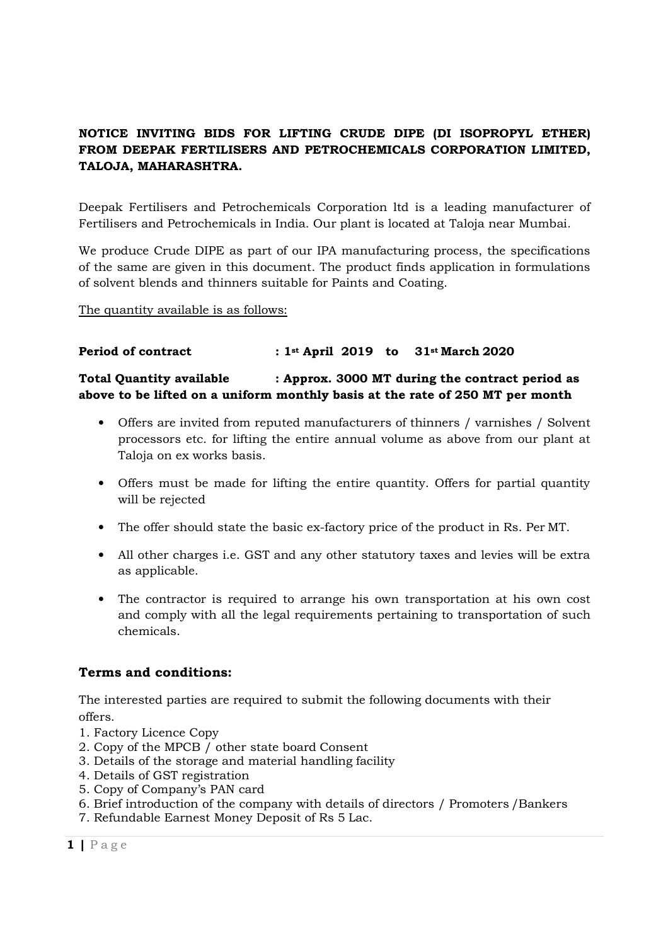# NOTICE INVITING BIDS FOR LIFTING CRUDE DIPE (DI ISOPROPYL ETHER) FROM DEEPAK FERTILISERS AND PETROCHEMICALS CORPORATION LIMITED, TALOJA, MAHARASHTRA.

Deepak Fertilisers and Petrochemicals Corporation ltd is a leading manufacturer of Fertilisers and Petrochemicals in India. Our plant is located at Taloja near Mumbai.

We produce Crude DIPE as part of our IPA manufacturing process, the specifications of the same are given in this document. The product finds application in formulations of solvent blends and thinners suitable for Paints and Coating.

The quantity available is as follows:

#### Period of contract : 1st April 2019 to 31st March 2020

### Total Quantity available : Approx. 3000 MT during the contract period as above to be lifted on a uniform monthly basis at the rate of 250 MT per month

- Offers are invited from reputed manufacturers of thinners / varnishes / Solvent processors etc. for lifting the entire annual volume as above from our plant at Taloja on ex works basis.
- Offers must be made for lifting the entire quantity. Offers for partial quantity will be rejected
- The offer should state the basic ex-factory price of the product in Rs. Per MT.
- All other charges i.e. GST and any other statutory taxes and levies will be extra as applicable.
- The contractor is required to arrange his own transportation at his own cost and comply with all the legal requirements pertaining to transportation of such chemicals.

# Terms and conditions:

The interested parties are required to submit the following documents with their offers.

- 1. Factory Licence Copy
- 2. Copy of the MPCB / other state board Consent
- 3. Details of the storage and material handling facility
- 4. Details of GST registration
- 5. Copy of Company's PAN card
- 6. Brief introduction of the company with details of directors / Promoters /Bankers
- 7. Refundable Earnest Money Deposit of Rs 5 Lac.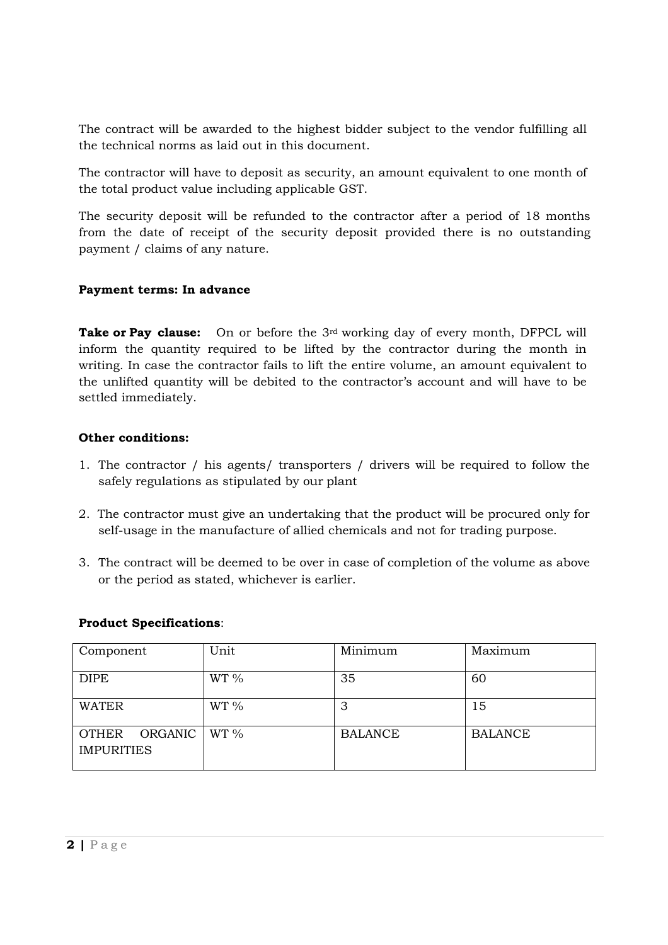The contract will be awarded to the highest bidder subject to the vendor fulfilling all the technical norms as laid out in this document.

The contractor will have to deposit as security, an amount equivalent to one month of the total product value including applicable GST.

The security deposit will be refunded to the contractor after a period of 18 months from the date of receipt of the security deposit provided there is no outstanding payment / claims of any nature.

### Payment terms: In advance

**Take or Pay clause:** On or before the  $3^{rd}$  working day of every month, DFPCL will inform the quantity required to be lifted by the contractor during the month in writing. In case the contractor fails to lift the entire volume, an amount equivalent to the unlifted quantity will be debited to the contractor's account and will have to be settled immediately.

### Other conditions:

- 1. The contractor / his agents/ transporters / drivers will be required to follow the safely regulations as stipulated by our plant
- 2. The contractor must give an undertaking that the product will be procured only for self-usage in the manufacture of allied chemicals and not for trading purpose.
- 3. The contract will be deemed to be over in case of completion of the volume as above or the period as stated, whichever is earlier.

### Product Specifications:

| Component                          | Unit    | Minimum        | Maximum        |
|------------------------------------|---------|----------------|----------------|
| <b>DIPE</b>                        | WT 9/6  | 35             | 60             |
| <b>WATER</b>                       | WT 9/6  | հ<br>A.        | 15             |
| OTHER ORGANIC<br><b>IMPURITIES</b> | $WT \%$ | <b>BALANCE</b> | <b>BALANCE</b> |